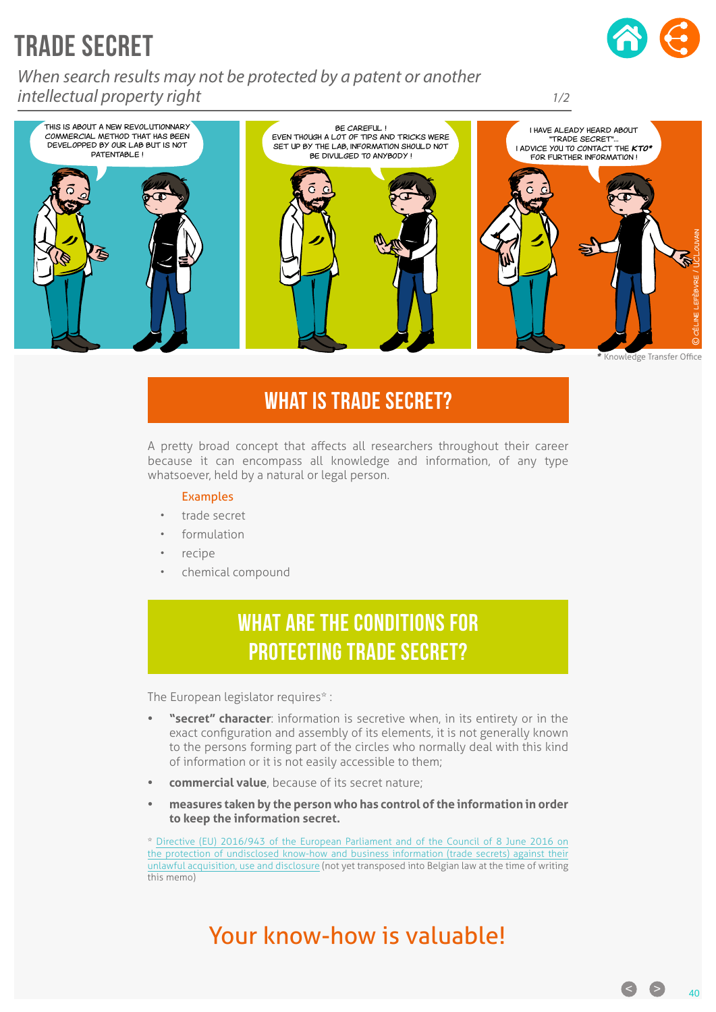# TRADE SECRET

*When search results may not be protected by a patent or another intellectual property right*





### WHAT IS TRADE SECRET?

A pretty broad concept that affects all researchers throughout their career because it can encompass all knowledge and information, of any type whatsoever, held by a natural or legal person.

#### Examples

- trade secret
- formulation
- recipe
- chemical compound

### WHAT ARE THE CONDITIONS FOR protecting trade secret?

The European legislator requires\* :

- **• "secret" character**: information is secretive when, in its entirety or in the exact configuration and assembly of its elements, it is not generally known to the persons forming part of the circles who normally deal with this kind of information or it is not easily accessible to them;
- **• commercial value**, because of its secret nature;
- **• measures taken by the person who has control of the information in order to keep the information secret.**

\* [Directive \(EU\) 2016/943 of the European Parliament and of the Council of 8 June 2016 on](http://eur-lex.europa.eu/legal-content/FR/TXT/PDF/?uri=CELEX:32016L0943&from=FR)  [the protection of undisclosed know-how and business information \(trade secrets\) against their](http://eur-lex.europa.eu/legal-content/FR/TXT/PDF/?uri=CELEX:32016L0943&from=FR)  [unlawful acquisition, use and disclosure](http://eur-lex.europa.eu/legal-content/FR/TXT/PDF/?uri=CELEX:32016L0943&from=FR) (not yet transposed into Belgian law at the time of writing this memo)

# Your know-how is valuable!

**C**  $\bullet$  40